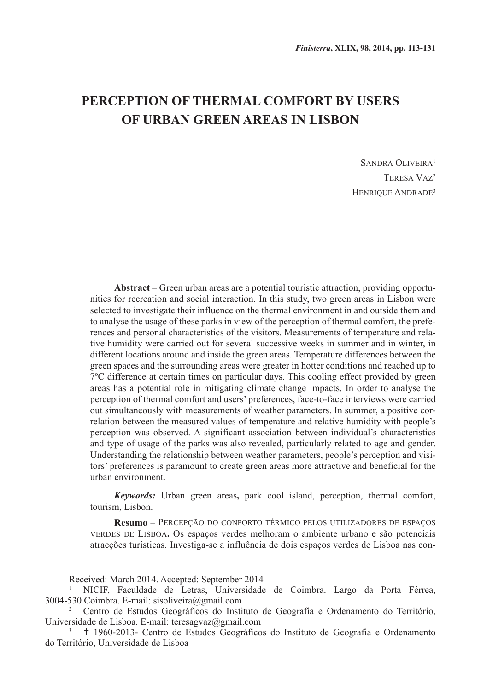# **Perception of thermal comfort by users of urban green areas in Lisbon**

SANDRA OLIVEIRA<sup>1</sup> Teresa Vaz2 HENRIQUE ANDRADE<sup>3</sup>

**Abstract** – Green urban areas are a potential touristic attraction, providing opportunities for recreation and social interaction. In this study, two green areas in Lisbon were selected to investigate their influence on the thermal environment in and outside them and to analyse the usage of these parks in view of the perception of thermal comfort, the preferences and personal characteristics of the visitors. Measurements of temperature and relative humidity were carried out for several successive weeks in summer and in winter, in different locations around and inside the green areas. Temperature differences between the green spaces and the surrounding areas were greater in hotter conditions and reached up to 7ºC difference at certain times on particular days. This cooling effect provided by green areas has a potential role in mitigating climate change impacts. In order to analyse the perception of thermal comfort and users' preferences, face-to-face interviews were carried out simultaneously with measurements of weather parameters. In summer, a positive correlation between the measured values of temperature and relative humidity with people's perception was observed. A significant association between individual's characteristics and type of usage of the parks was also revealed, particularly related to age and gender. Understanding the relationship between weather parameters, people's perception and visitors' preferences is paramount to create green areas more attractive and beneficial for the urban environment.

*Keywords:* Urban green areas**,** park cool island, perception, thermal comfort, tourism, Lisbon.

**Resumo** – Percepção do conforto térmico pelos utilizadores de espaços verdes de Lisboa**.** Os espaços verdes melhoram o ambiente urbano e são potenciais atracções turísticas. Investiga-se a influência de dois espaços verdes de Lisboa nas con-

Received: March 2014. Accepted: September 2014

<sup>1</sup> NICIF, Faculdade de Letras, Universidade de Coimbra. Largo da Porta Férrea, 3004-530 Coimbra. E-mail: sisoliveira@gmail.com

<sup>2</sup> Centro de Estudos Geográficos do Instituto de Geografia e Ordenamento do Território, Universidade de Lisboa. E-mail: teresagvaz@gmail.com

<sup>3</sup> 1960-2013- Centro de Estudos Geográficos do Instituto de Geografia e Ordenamento do Território, Universidade de Lisboa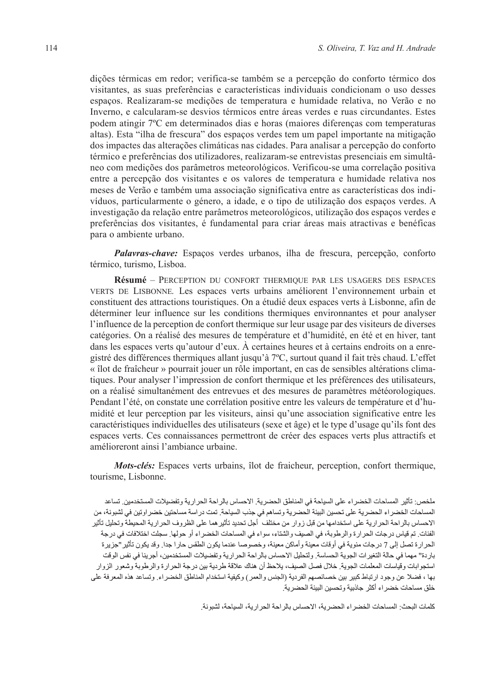dições térmicas em redor; verifica-se também se a percepção do conforto térmico dos visitantes, as suas preferências e características individuais condicionam o uso desses espaços. Realizaram-se medições de temperatura e humidade relativa, no Verão e no Inverno, e calcularam-se desvios térmicos entre áreas verdes e ruas circundantes. Estes podem atingir 7ºC em determinados dias e horas (maiores diferenças com temperaturas altas). Esta "ilha de frescura" dos espaços verdes tem um papel importante na mitigação dos impactes das alterações climáticas nas cidades. Para analisar a percepção do conforto térmico e preferências dos utilizadores, realizaram-se entrevistas presenciais em simultâneo com medições dos parâmetros meteorológicos. Verificou-se uma correlação positiva entre a percepção dos visitantes e os valores de temperatura e humidade relativa nos meses de Verão e também uma associação significativa entre as características dos indivíduos, particularmente o género, a idade, e o tipo de utilização dos espaços verdes. A investigação da relação entre parâmetros meteorológicos, utilização dos espaços verdes e preferências dos visitantes, é fundamental para criar áreas mais atractivas e benéficas para o ambiente urbano.

*Palavras-chave:* Espaços verdes urbanos, ilha de frescura, percepção, conforto térmico, turismo, Lisboa.

**Résumé** – Perception du confort thermique par les usagers des espaces verts de Lisbonne*.* Les espaces verts urbains améliorent l'environnement urbain et constituent des attractions touristiques. On a étudié deux espaces verts à Lisbonne, afin de déterminer leur influence sur les conditions thermiques environnantes et pour analyser l'influence de la perception de confort thermique sur leur usage par des visiteurs de diverses catégories. On a réalisé des mesures de température et d'humidité, en été et en hiver, tant dans les espaces verts qu'autour d'eux. À certaines heures et à certains endroits on a enregistré des différences thermiques allant jusqu'à 7ºC, surtout quand il fait très chaud. L'effet « îlot de fraîcheur » pourrait jouer un rôle important, en cas de sensibles altérations climatiques. Pour analyser l'impression de confort thermique et les préférences des utilisateurs, on a réalisé simultanément des entrevues et des mesures de paramètres météorologiques. Pendant l'été, on constate une corrélation positive entre les valeurs de température et d'humidité et leur perception par les visiteurs, ainsi qu'une association significative entre les caractéristiques individuelles des utilisateurs (sexe et âge) et le type d'usage qu'ils font des espaces verts. Ces connaissances permettront de créer des espaces verts plus attractifs et amélioreront ainsi l'ambiance urbaine.

*Mots-clés:* Espaces verts urbains, îlot de fraicheur, perception, confort thermique, tourisme, Lisbonne.

ملخص: تأثير المساحات الخضراء على السياحة في المناطق الحضرية. الاحساس بالراحة الحرارية وتفضيلات المستخدمين. تساعد المساحات الخضر اء الحضرية على تحسين البيئة الحضرية وتساهم في جذب السياحة. تمت در اسة مساحتين خضر اوتين في لشبونة، من الاحساس بالراحة الحرارية على استخدامها من قبل زوار من مختلف أجل تحديد تأثير هما على الظروف الحرارية المحيطة وتحليل تأثير الفئات. تم قياس درجات الحرارة والرطوبة، في الصيف والشتاء، سواء في المساحات الخضراء أو حولها. سجلت اختلافات في درجة الحرارة تصل إلى 7 درجات مئوية في أوقات معينة وأماكن معينة، وخصوصا عندما يكون الطقس حارا جدا. وقد يكون تأثير "جزيرة بار دة" مهما في حالة التغير ات الجو بة الحساسة٬ ولتحليل الإحساس بالر احة الحر ار بة و تفضيلات المستخدمين، أجر ينا في نفس الوقت استجوابات وقياسات المعلمات الجوية. خلال فصل الصيف، يلاحظ أن هناك علاقة طردية بين درجة الحرارة والرطوبة وشعور الزوار بها ، فضلا عن وجود ارتباط كبير بين خصائصهم الفردية (الجنس والعمر) وكيفية استخدام المناطق الخضراء٬ وتساعد هذه المعرفة على خلق مساحات خضراء أكثر جاذبية وتحسين البيئة الحضرية.

كلمات البحث: المساحات الخضر اء الحضر ية، الاحساس بالر احة الحر ار ية، السياحة، لشبونة.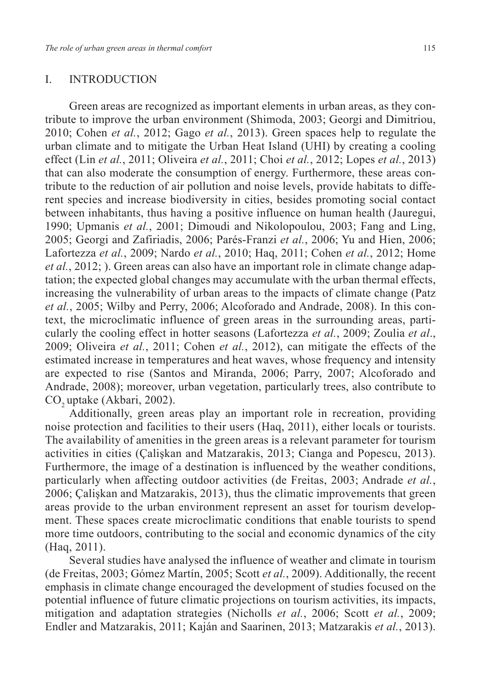# I. INTRODUCTION

Green areas are recognized as important elements in urban areas, as they contribute to improve the urban environment (Shimoda, 2003; Georgi and Dimitriou, 2010; Cohen *et al.*, 2012; Gago *et al.*, 2013). Green spaces help to regulate the urban climate and to mitigate the Urban Heat Island (UHI) by creating a cooling effect (Lin *et al.*, 2011; Oliveira *et al.*, 2011; Choi *et al.*, 2012; Lopes *et al.*, 2013) that can also moderate the consumption of energy. Furthermore, these areas contribute to the reduction of air pollution and noise levels, provide habitats to different species and increase biodiversity in cities, besides promoting social contact between inhabitants, thus having a positive influence on human health (Jauregui, 1990; Upmanis *et al.*, 2001; Dimoudi and Nikolopoulou, 2003; Fang and Ling, 2005; Georgi and Zafiriadis, 2006; Parés-Franzi *et al.*, 2006; Yu and Hien, 2006; Lafortezza *et al.*, 2009; Nardo *et al.*, 2010; Haq, 2011; Cohen *et al.*, 2012; Home *et al.*, 2012; ). Green areas can also have an important role in climate change adaptation; the expected global changes may accumulate with the urban thermal effects, increasing the vulnerability of urban areas to the impacts of climate change (Patz *et al.*, 2005; Wilby and Perry, 2006; Alcoforado and Andrade, 2008). In this context, the microclimatic influence of green areas in the surrounding areas, particularly the cooling effect in hotter seasons (Lafortezza *et al.*, 2009; Zoulia *et al*., 2009; Oliveira *et al.*, 2011; Cohen *et al.*, 2012), can mitigate the effects of the estimated increase in temperatures and heat waves, whose frequency and intensity are expected to rise (Santos and Miranda, 2006; Parry, 2007; Alcoforado and Andrade, 2008); moreover, urban vegetation, particularly trees, also contribute to CO<sub>2</sub> uptake (Akbari, 2002).

Additionally, green areas play an important role in recreation, providing noise protection and facilities to their users (Haq, 2011), either locals or tourists. The availability of amenities in the green areas is a relevant parameter for tourism activities in cities (Çalişkan and Matzarakis, 2013; Cianga and Popescu, 2013). Furthermore, the image of a destination is influenced by the weather conditions, particularly when affecting outdoor activities (de Freitas, 2003; Andrade *et al.*, 2006; Çalişkan and Matzarakis, 2013), thus the climatic improvements that green areas provide to the urban environment represent an asset for tourism development. These spaces create microclimatic conditions that enable tourists to spend more time outdoors, contributing to the social and economic dynamics of the city (Haq, 2011).

Several studies have analysed the influence of weather and climate in tourism (de Freitas, 2003; Gómez Martín, 2005; Scott *et al.*, 2009). Additionally, the recent emphasis in climate change encouraged the development of studies focused on the potential influence of future climatic projections on tourism activities, its impacts, mitigation and adaptation strategies (Nicholls *et al.*, 2006; Scott *et al.*, 2009; Endler and Matzarakis, 2011; Kaján and Saarinen, 2013; Matzarakis *et al.*, 2013).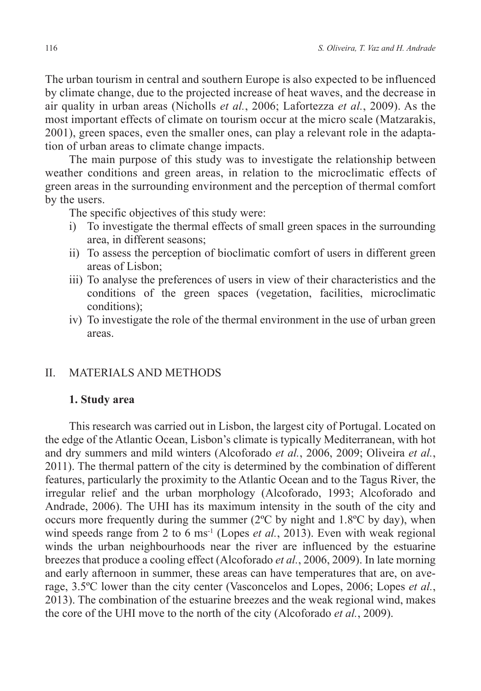The urban tourism in central and southern Europe is also expected to be influenced by climate change, due to the projected increase of heat waves, and the decrease in air quality in urban areas (Nicholls *et al.*, 2006; Lafortezza *et al.*, 2009). As the most important effects of climate on tourism occur at the micro scale (Matzarakis, 2001), green spaces, even the smaller ones, can play a relevant role in the adaptation of urban areas to climate change impacts.

The main purpose of this study was to investigate the relationship between weather conditions and green areas, in relation to the microclimatic effects of green areas in the surrounding environment and the perception of thermal comfort by the users.

The specific objectives of this study were:

- i) To investigate the thermal effects of small green spaces in the surrounding area, in different seasons;
- ii) To assess the perception of bioclimatic comfort of users in different green areas of Lisbon;
- iii) To analyse the preferences of users in view of their characteristics and the conditions of the green spaces (vegetation, facilities, microclimatic conditions);
- iv) To investigate the role of the thermal environment in the use of urban green areas.

# II. MATERIALS AND METHODS

### **1. Study area**

This research was carried out in Lisbon, the largest city of Portugal. Located on the edge of the Atlantic Ocean, Lisbon's climate is typically Mediterranean, with hot and dry summers and mild winters (Alcoforado *et al.*, 2006, 2009; Oliveira *et al.*, 2011). The thermal pattern of the city is determined by the combination of different features, particularly the proximity to the Atlantic Ocean and to the Tagus River, the irregular relief and the urban morphology (Alcoforado, 1993; Alcoforado and Andrade, 2006). The UHI has its maximum intensity in the south of the city and occurs more frequently during the summer (2ºC by night and 1.8ºC by day), when wind speeds range from 2 to 6 ms<sup>-1</sup> (Lopes *et al.*, 2013). Even with weak regional winds the urban neighbourhoods near the river are influenced by the estuarine breezes that produce a cooling effect (Alcoforado *et al.*, 2006, 2009). In late morning and early afternoon in summer, these areas can have temperatures that are, on average, 3.5ºC lower than the city center (Vasconcelos and Lopes, 2006; Lopes *et al.*, 2013). The combination of the estuarine breezes and the weak regional wind, makes the core of the UHI move to the north of the city (Alcoforado *et al.*, 2009).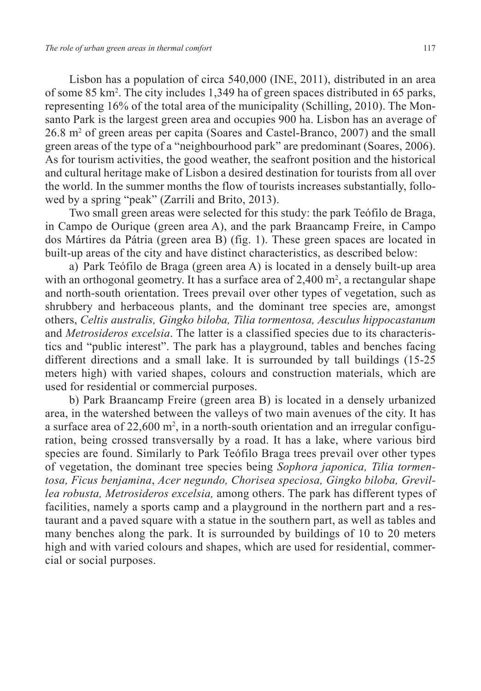Lisbon has a population of circa 540,000 (INE, 2011), distributed in an area of some 85 km2 . The city includes 1,349 ha of green spaces distributed in 65 parks, representing 16% of the total area of the municipality (Schilling, 2010). The Monsanto Park is the largest green area and occupies 900 ha. Lisbon has an average of 26.8 m2 of green areas per capita (Soares and Castel-Branco, 2007) and the small green areas of the type of a "neighbourhood park" are predominant (Soares, 2006). As for tourism activities, the good weather, the seafront position and the historical and cultural heritage make of Lisbon a desired destination for tourists from all over the world. In the summer months the flow of tourists increases substantially, followed by a spring "peak" (Zarrili and Brito, 2013).

Two small green areas were selected for this study: the park Teófilo de Braga, in Campo de Ourique (green area A), and the park Braancamp Freire, in Campo dos Mártires da Pátria (green area B) (fig. 1). These green spaces are located in built-up areas of the city and have distinct characteristics, as described below:

a) Park Teófilo de Braga (green area A) is located in a densely built-up area with an orthogonal geometry. It has a surface area of  $2,400 \text{ m}^2$ , a rectangular shape and north-south orientation. Trees prevail over other types of vegetation, such as shrubbery and herbaceous plants, and the dominant tree species are, amongst others, *Celtis australis, Gingko biloba, Tilia tormentosa, Aesculus hippocastanum* and *Metrosideros excelsia*. The latter is a classified species due to its characteristics and "public interest". The park has a playground, tables and benches facing different directions and a small lake. It is surrounded by tall buildings (15-25 meters high) with varied shapes, colours and construction materials, which are used for residential or commercial purposes.

b) Park Braancamp Freire (green area B) is located in a densely urbanized area, in the watershed between the valleys of two main avenues of the city. It has a surface area of  $22{,}600 \text{ m}^2$ , in a north-south orientation and an irregular configuration, being crossed transversally by a road. It has a lake, where various bird species are found. Similarly to Park Teófilo Braga trees prevail over other types of vegetation, the dominant tree species being *Sophora japonica, Tilia tormentosa, Ficus benjamina*, *Acer negundo, Chorisea speciosa, Gingko biloba, Grevillea robusta, Metrosideros excelsia,* among others. The park has different types of facilities, namely a sports camp and a playground in the northern part and a restaurant and a paved square with a statue in the southern part, as well as tables and many benches along the park. It is surrounded by buildings of 10 to 20 meters high and with varied colours and shapes, which are used for residential, commercial or social purposes.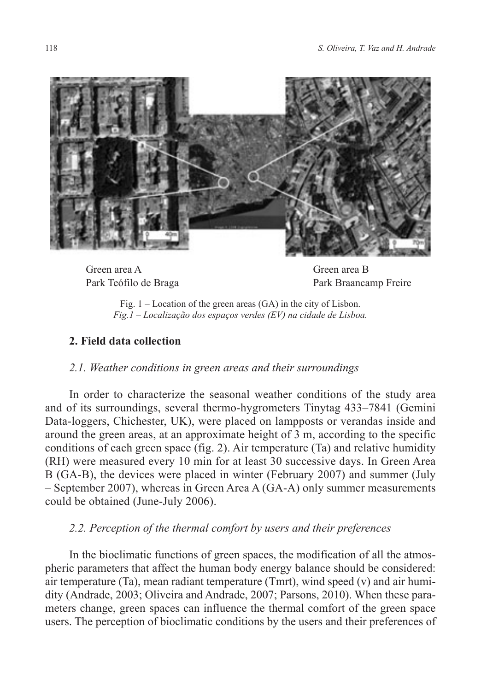

Green area A Park Teófilo de Braga

Green area B Park Braancamp Freire

Fig. 1 – Location of the green areas (GA) in the city of Lisbon. *Fig.1 – Localização dos espaços verdes (EV) na cidade de Lisboa.*

# **2. Field data collection**

# *2.1. Weather conditions in green areas and their surroundings*

In order to characterize the seasonal weather conditions of the study area and of its surroundings, several thermo-hygrometers Tinytag 433–7841 (Gemini Data-loggers, Chichester, UK), were placed on lampposts or verandas inside and around the green areas, at an approximate height of 3 m, according to the specific conditions of each green space (fig. 2). Air temperature (Ta) and relative humidity (RH) were measured every 10 min for at least 30 successive days. In Green Area B (GA-B), the devices were placed in winter (February 2007) and summer (July – September 2007), whereas in Green Area A (GA-A) only summer measurements could be obtained (June-July 2006).

# *2.2. Perception of the thermal comfort by users and their preferences*

In the bioclimatic functions of green spaces, the modification of all the atmospheric parameters that affect the human body energy balance should be considered: air temperature (Ta), mean radiant temperature (Tmrt), wind speed (v) and air humidity (Andrade, 2003; Oliveira and Andrade, 2007; Parsons, 2010). When these parameters change, green spaces can influence the thermal comfort of the green space users. The perception of bioclimatic conditions by the users and their preferences of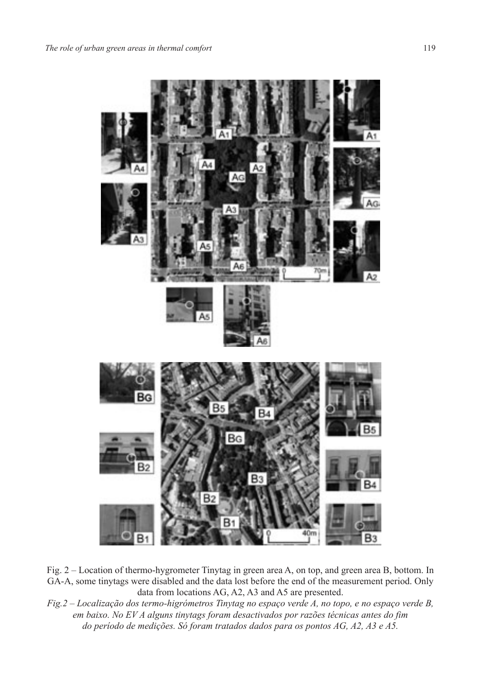

Fig. 2 – Location of thermo-hygrometer Tinytag in green area A, on top, and green area B, bottom. In GA-A, some tinytags were disabled and the data lost before the end of the measurement period. Only data from locations AG, A2, A3 and A5 are presented.

*Fig.2 – Localização dos termo-higrómetros Tinytag no espaço verde A, no topo, e no espaço verde B, em baixo. No EV A alguns tinytags foram desactivados por razões técnicas antes do fim do período de medições. Só foram tratados dados para os pontos AG, A2, A3 e A5.*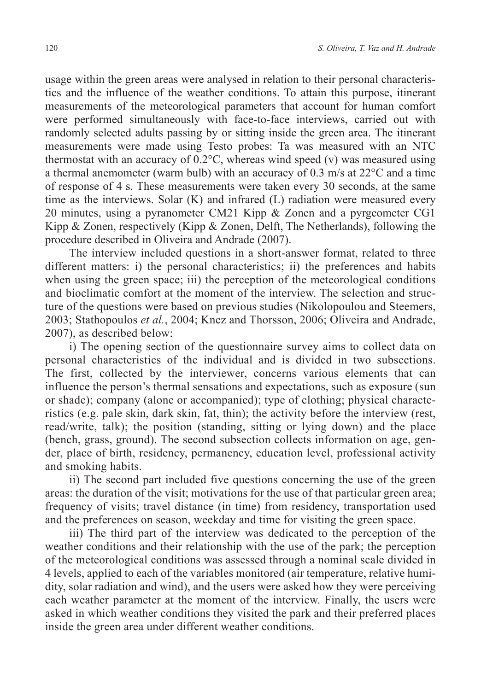usage within the green areas were analysed in relation to their personal characteristics and the influence of the weather conditions. To attain this purpose, itinerant measurements of the meteorological parameters that account for human comfort were performed simultaneously with face-to-face interviews, carried out with randomly selected adults passing by or sitting inside the green area. The itinerant measurements were made using Testo probes: Ta was measured with an NTC thermostat with an accuracy of 0.2°C, whereas wind speed (v) was measured using a thermal anemometer (warm bulb) with an accuracy of 0.3 m/s at 22°C and a time of response of 4 s. These measurements were taken every 30 seconds, at the same time as the interviews. Solar (K) and infrared (L) radiation were measured every 20 minutes, using a pyranometer CM21 Kipp & Zonen and a pyrgeometer CG1 Kipp & Zonen, respectively (Kipp & Zonen, Delft, The Netherlands), following the procedure described in Oliveira and Andrade (2007).

The interview included questions in a short-answer format, related to three different matters: i) the personal characteristics; ii) the preferences and habits when using the green space; iii) the perception of the meteorological conditions and bioclimatic comfort at the moment of the interview. The selection and structure of the questions were based on previous studies (Nikolopoulou and Steemers, 2003; Stathopoulos *et al.*, 2004; Knez and Thorsson, 2006; Oliveira and Andrade, 2007), as described below:

i) The opening section of the questionnaire survey aims to collect data on personal characteristics of the individual and is divided in two subsections. The first, collected by the interviewer, concerns various elements that can influence the person's thermal sensations and expectations, such as exposure (sun or shade); company (alone or accompanied); type of clothing; physical characteristics (e.g. pale skin, dark skin, fat, thin); the activity before the interview (rest, read/write, talk); the position (standing, sitting or lying down) and the place (bench, grass, ground). The second subsection collects information on age, gender, place of birth, residency, permanency, education level, professional activity and smoking habits.

ii) The second part included five questions concerning the use of the green areas: the duration of the visit; motivations for the use of that particular green area; frequency of visits; travel distance (in time) from residency, transportation used and the preferences on season, weekday and time for visiting the green space.

iii) The third part of the interview was dedicated to the perception of the weather conditions and their relationship with the use of the park; the perception of the meteorological conditions was assessed through a nominal scale divided in 4 levels, applied to each of the variables monitored (air temperature, relative humidity, solar radiation and wind), and the users were asked how they were perceiving each weather parameter at the moment of the interview. Finally, the users were asked in which weather conditions they visited the park and their preferred places inside the green area under different weather conditions.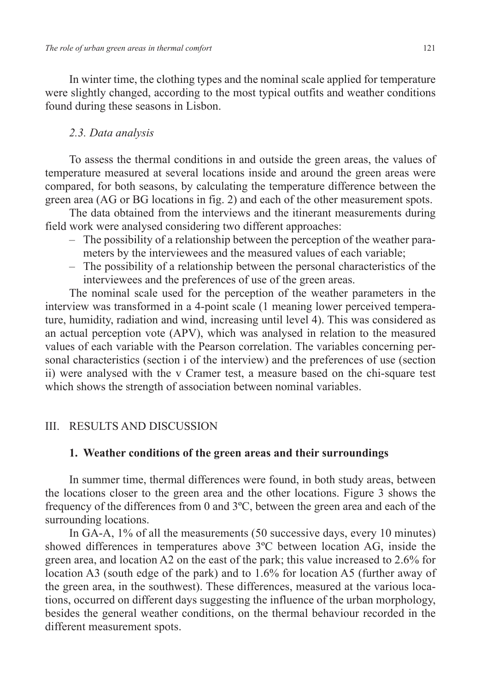In winter time, the clothing types and the nominal scale applied for temperature were slightly changed, according to the most typical outfits and weather conditions found during these seasons in Lisbon.

### *2.3. Data analysis*

To assess the thermal conditions in and outside the green areas, the values of temperature measured at several locations inside and around the green areas were compared, for both seasons, by calculating the temperature difference between the green area (AG or BG locations in fig. 2) and each of the other measurement spots.

The data obtained from the interviews and the itinerant measurements during field work were analysed considering two different approaches:

- The possibility of a relationship between the perception of the weather parameters by the interviewees and the measured values of each variable;
- The possibility of a relationship between the personal characteristics of the interviewees and the preferences of use of the green areas.

The nominal scale used for the perception of the weather parameters in the interview was transformed in a 4-point scale (1 meaning lower perceived temperature, humidity, radiation and wind, increasing until level 4). This was considered as an actual perception vote (APV), which was analysed in relation to the measured values of each variable with the Pearson correlation. The variables concerning personal characteristics (section i of the interview) and the preferences of use (section ii) were analysed with the v Cramer test, a measure based on the chi-square test which shows the strength of association between nominal variables.

# III. RESULTS AND DISCUSSION

# **1. Weather conditions of the green areas and their surroundings**

In summer time, thermal differences were found, in both study areas, between the locations closer to the green area and the other locations. Figure 3 shows the frequency of the differences from 0 and 3ºC, between the green area and each of the surrounding locations.

In GA-A, 1% of all the measurements (50 successive days, every 10 minutes) showed differences in temperatures above 3ºC between location AG, inside the green area, and location A2 on the east of the park; this value increased to 2.6% for location A3 (south edge of the park) and to 1.6% for location A5 (further away of the green area, in the southwest). These differences, measured at the various locations, occurred on different days suggesting the influence of the urban morphology, besides the general weather conditions, on the thermal behaviour recorded in the different measurement spots.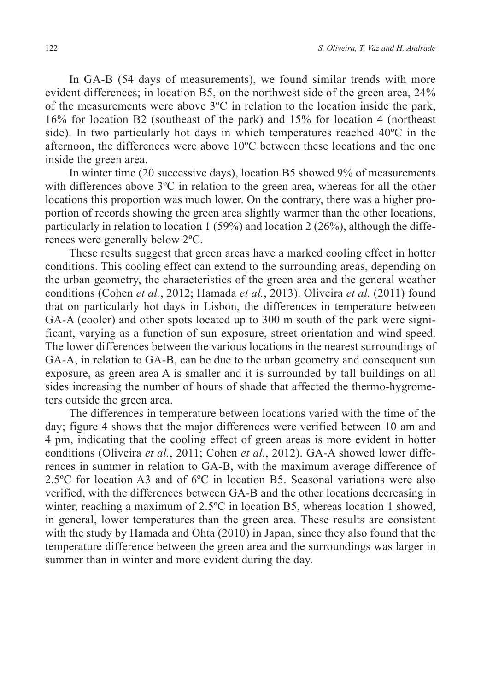In GA-B (54 days of measurements), we found similar trends with more evident differences; in location B5, on the northwest side of the green area, 24% of the measurements were above  $3^{\circ}$ C in relation to the location inside the park, 16% for location B2 (southeast of the park) and 15% for location 4 (northeast side). In two particularly hot days in which temperatures reached 40ºC in the afternoon, the differences were above 10ºC between these locations and the one inside the green area.

In winter time (20 successive days), location B5 showed 9% of measurements with differences above 3<sup>o</sup>C in relation to the green area, whereas for all the other locations this proportion was much lower. On the contrary, there was a higher proportion of records showing the green area slightly warmer than the other locations, particularly in relation to location 1 (59%) and location 2 (26%), although the differences were generally below 2ºC.

These results suggest that green areas have a marked cooling effect in hotter conditions. This cooling effect can extend to the surrounding areas, depending on the urban geometry, the characteristics of the green area and the general weather conditions (Cohen *et al.*, 2012; Hamada *et al.*, 2013). Oliveira *et al.* (2011) found that on particularly hot days in Lisbon, the differences in temperature between GA-A (cooler) and other spots located up to 300 m south of the park were significant, varying as a function of sun exposure, street orientation and wind speed. The lower differences between the various locations in the nearest surroundings of GA-A, in relation to GA-B, can be due to the urban geometry and consequent sun exposure, as green area A is smaller and it is surrounded by tall buildings on all sides increasing the number of hours of shade that affected the thermo-hygrometers outside the green area.

The differences in temperature between locations varied with the time of the day; figure 4 shows that the major differences were verified between 10 am and 4 pm, indicating that the cooling effect of green areas is more evident in hotter conditions (Oliveira *et al.*, 2011; Cohen *et al.*, 2012). GA-A showed lower differences in summer in relation to GA-B, with the maximum average difference of 2.5ºC for location A3 and of 6ºC in location B5. Seasonal variations were also verified, with the differences between GA-B and the other locations decreasing in winter, reaching a maximum of 2.5°C in location B5, whereas location 1 showed, in general, lower temperatures than the green area. These results are consistent with the study by Hamada and Ohta (2010) in Japan, since they also found that the temperature difference between the green area and the surroundings was larger in summer than in winter and more evident during the day.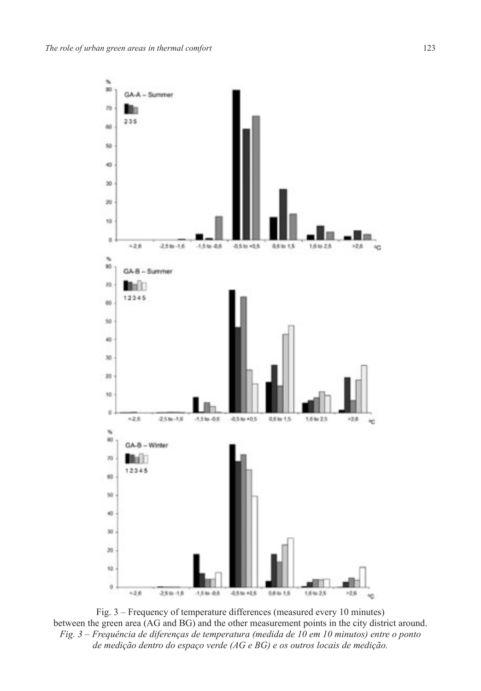

Fig. 3 – Frequency of temperature differences (measured every 10 minutes) between the green area (AG and BG) and the other measurement points in the city district around. *Fig. 3 – Frequência de diferenças de temperatura (medida de 10 em 10 minutos) entre o ponto de medição dentro do espaço verde (AG e BG) e os outros locais de medição.*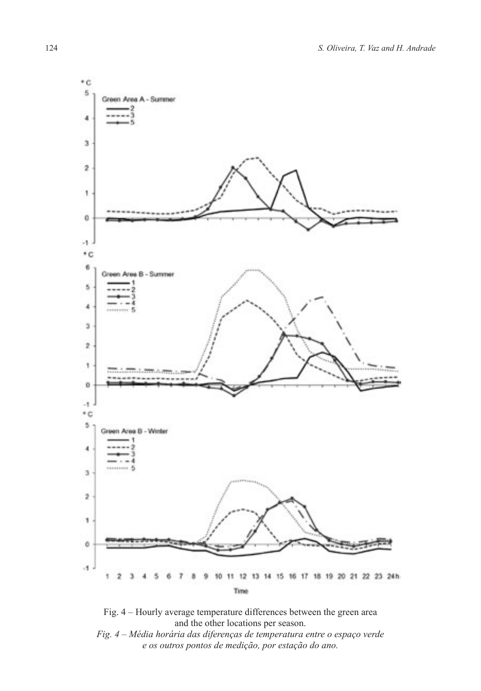

Fig. 4 – Hourly average temperature differences between the green area and the other locations per season.

*Fig. 4 – Média horária das diferenças de temperatura entre o espaço verde e os outros pontos de medição, por estação do ano.*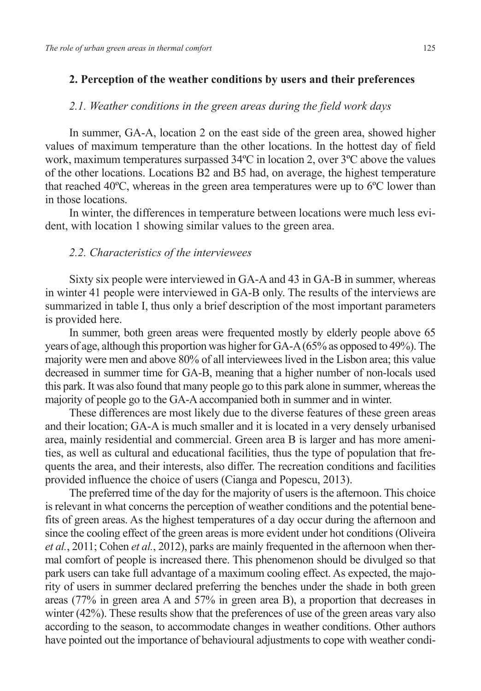# **2. Perception of the weather conditions by users and their preferences**

# *2.1. Weather conditions in the green areas during the field work days*

In summer, GA-A, location 2 on the east side of the green area, showed higher values of maximum temperature than the other locations. In the hottest day of field work, maximum temperatures surpassed 34ºC in location 2, over 3ºC above the values of the other locations. Locations B2 and B5 had, on average, the highest temperature that reached 40ºC, whereas in the green area temperatures were up to 6ºC lower than in those locations.

In winter, the differences in temperature between locations were much less evident, with location 1 showing similar values to the green area.

#### *2.2. Characteristics of the interviewees*

Sixty six people were interviewed in GA-A and 43 in GA-B in summer, whereas in winter 41 people were interviewed in GA-B only. The results of the interviews are summarized in table I, thus only a brief description of the most important parameters is provided here.

In summer, both green areas were frequented mostly by elderly people above 65 years of age, although this proportion was higher for GA-A (65% as opposed to 49%). The majority were men and above 80% of all interviewees lived in the Lisbon area; this value decreased in summer time for GA-B, meaning that a higher number of non-locals used this park. It was also found that many people go to this park alone in summer, whereas the majority of people go to the GA-A accompanied both in summer and in winter.

These differences are most likely due to the diverse features of these green areas and their location; GA-A is much smaller and it is located in a very densely urbanised area, mainly residential and commercial. Green area B is larger and has more amenities, as well as cultural and educational facilities, thus the type of population that frequents the area, and their interests, also differ. The recreation conditions and facilities provided influence the choice of users (Cianga and Popescu, 2013).

The preferred time of the day for the majority of users is the afternoon. This choice is relevant in what concerns the perception of weather conditions and the potential benefits of green areas. As the highest temperatures of a day occur during the afternoon and since the cooling effect of the green areas is more evident under hot conditions (Oliveira *et al.*, 2011; Cohen *et al.*, 2012), parks are mainly frequented in the afternoon when thermal comfort of people is increased there. This phenomenon should be divulged so that park users can take full advantage of a maximum cooling effect. As expected, the majority of users in summer declared preferring the benches under the shade in both green areas (77% in green area A and 57% in green area B), a proportion that decreases in winter (42%). These results show that the preferences of use of the green areas vary also according to the season, to accommodate changes in weather conditions. Other authors have pointed out the importance of behavioural adjustments to cope with weather condi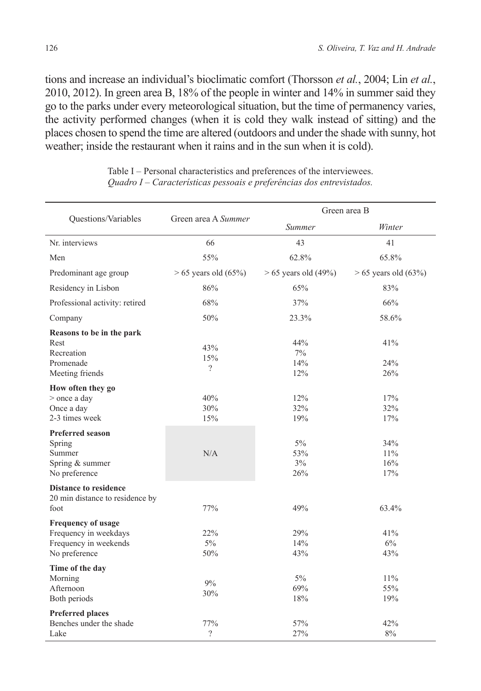tions and increase an individual's bioclimatic comfort (Thorsson *et al.*, 2004; Lin *et al.*, 2010, 2012). In green area B, 18% of the people in winter and 14% in summer said they go to the parks under every meteorological situation, but the time of permanency varies, the activity performed changes (when it is cold they walk instead of sitting) and the places chosen to spend the time are altered (outdoors and under the shade with sunny, hot weather; inside the restaurant when it rains and in the sun when it is cold).

| Questions/Variables                                                                          | Green area A Summer      | Green area B                 |                           |  |
|----------------------------------------------------------------------------------------------|--------------------------|------------------------------|---------------------------|--|
|                                                                                              |                          | Summer                       | Winter                    |  |
| Nr. interviews                                                                               | 66                       | 43                           | 41                        |  |
| Men                                                                                          | 55%                      | 62.8%                        | 65.8%                     |  |
| Predominant age group                                                                        | $> 65$ years old $(65%)$ | $> 65$ years old (49%)       | $> 65$ years old $(63\%)$ |  |
| Residency in Lisbon                                                                          | 86%                      | 65%                          | 83%                       |  |
| Professional activity: retired                                                               | 68%                      | 37%                          | 66%                       |  |
| Company                                                                                      | 50%                      | 23.3%                        | 58.6%                     |  |
| Reasons to be in the park<br>Rest<br>Recreation<br>Promenade<br>Meeting friends              | 43%<br>15%<br>$\gamma$   | 44%<br>$7\%$<br>14%<br>12%   | 41%<br>24%<br>26%         |  |
| How often they go<br>> once a day<br>Once a day<br>2-3 times week                            | 40%<br>30%<br>15%        | 12%<br>32%<br>19%            | 17%<br>32%<br>17%         |  |
| <b>Preferred season</b><br>Spring<br>Summer<br>Spring & summer<br>No preference              | N/A                      | $5\%$<br>53%<br>$3\%$<br>26% | 34%<br>11%<br>16%<br>17%  |  |
| <b>Distance to residence</b><br>20 min distance to residence by<br>foot                      | 77%                      | 49%                          | 63.4%                     |  |
| <b>Frequency of usage</b><br>Frequency in weekdays<br>Frequency in weekends<br>No preference | 22%<br>$5\%$<br>50%      | 29%<br>14%<br>43%            | 41%<br>6%<br>43%          |  |
| Time of the day<br>Morning<br>Afternoon<br>Both periods                                      | 9%<br>30%                | $5\%$<br>69%<br>18%          | 11%<br>55%<br>19%         |  |
| <b>Preferred places</b><br>Benches under the shade<br>Lake                                   | 77%<br>$\gamma$          | 57%<br>27%                   | 42%<br>8%                 |  |

Table I – Personal characteristics and preferences of the interviewees. *Quadro I – Características pessoais e preferências dos entrevistados.*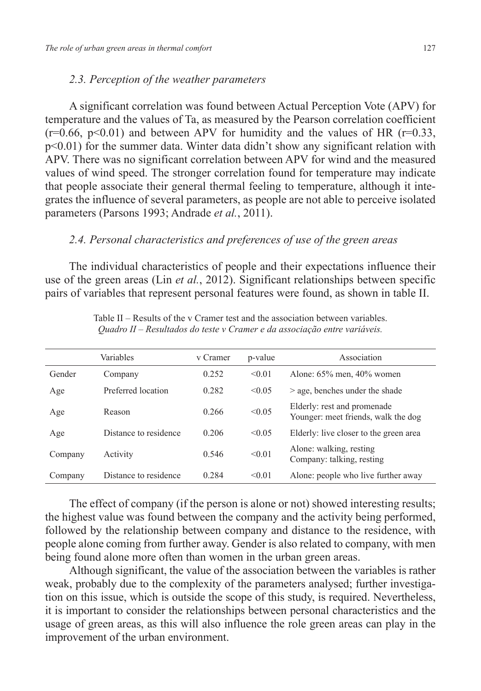# *2.3. Perception of the weather parameters*

A significant correlation was found between Actual Perception Vote (APV) for temperature and the values of Ta, as measured by the Pearson correlation coefficient  $(r=0.66, p<0.01)$  and between APV for humidity and the values of HR  $(r=0.33, p=0.01)$ p<0.01) for the summer data. Winter data didn't show any significant relation with APV. There was no significant correlation between APV for wind and the measured values of wind speed. The stronger correlation found for temperature may indicate that people associate their general thermal feeling to temperature, although it integrates the influence of several parameters, as people are not able to perceive isolated parameters (Parsons 1993; Andrade *et al.*, 2011).

# *2.4. Personal characteristics and preferences of use of the green areas*

The individual characteristics of people and their expectations influence their use of the green areas (Lin *et al.*, 2012). Significant relationships between specific pairs of variables that represent personal features were found, as shown in table II.

|         | Variables             | v Cramer | p-value | Association                                                        |
|---------|-----------------------|----------|---------|--------------------------------------------------------------------|
| Gender  | Company               | 0.252    | < 0.01  | Alone: $65\%$ men, $40\%$ women                                    |
| Age     | Preferred location    | 0.282    | < 0.05  | $>$ age, benches under the shade                                   |
| Age     | Reason                | 0.266    | < 0.05  | Elderly: rest and promenade<br>Younger: meet friends, walk the dog |
| Age     | Distance to residence | 0.206    | < 0.05  | Elderly: live closer to the green area                             |
| Company | Activity              | 0.546    | < 0.01  | Alone: walking, resting<br>Company: talking, resting               |
| Company | Distance to residence | 0.284    | < 0.01  | Alone: people who live further away                                |

Table II – Results of the v Cramer test and the association between variables. *Quadro II – Resultados do teste v Cramer e da associação entre variáveis.*

The effect of company (if the person is alone or not) showed interesting results; the highest value was found between the company and the activity being performed, followed by the relationship between company and distance to the residence, with people alone coming from further away. Gender is also related to company, with men being found alone more often than women in the urban green areas.

Although significant, the value of the association between the variables is rather weak, probably due to the complexity of the parameters analysed; further investigation on this issue, which is outside the scope of this study, is required. Nevertheless, it is important to consider the relationships between personal characteristics and the usage of green areas, as this will also influence the role green areas can play in the improvement of the urban environment.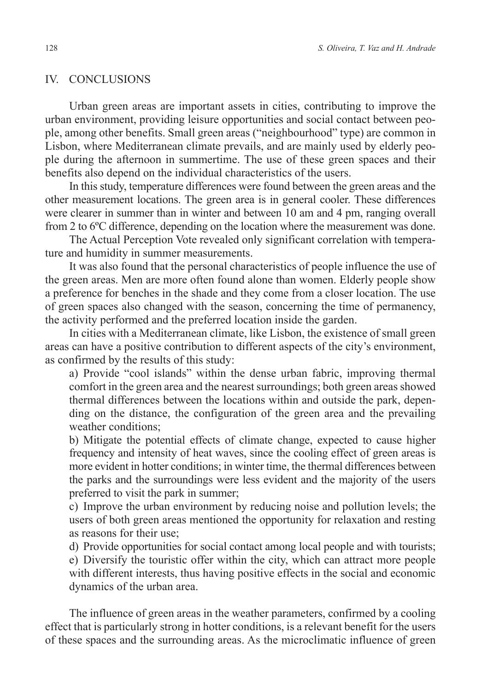# IV. CONCLUSIONS

Urban green areas are important assets in cities, contributing to improve the urban environment, providing leisure opportunities and social contact between people, among other benefits. Small green areas ("neighbourhood" type) are common in Lisbon, where Mediterranean climate prevails, and are mainly used by elderly people during the afternoon in summertime. The use of these green spaces and their benefits also depend on the individual characteristics of the users.

In this study, temperature differences were found between the green areas and the other measurement locations. The green area is in general cooler. These differences were clearer in summer than in winter and between 10 am and 4 pm, ranging overall from 2 to 6ºC difference, depending on the location where the measurement was done.

The Actual Perception Vote revealed only significant correlation with temperature and humidity in summer measurements.

It was also found that the personal characteristics of people influence the use of the green areas. Men are more often found alone than women. Elderly people show a preference for benches in the shade and they come from a closer location. The use of green spaces also changed with the season, concerning the time of permanency, the activity performed and the preferred location inside the garden.

In cities with a Mediterranean climate, like Lisbon, the existence of small green areas can have a positive contribution to different aspects of the city's environment, as confirmed by the results of this study:

a) Provide "cool islands" within the dense urban fabric, improving thermal comfort in the green area and the nearest surroundings; both green areas showed thermal differences between the locations within and outside the park, depending on the distance, the configuration of the green area and the prevailing weather conditions;

b) Mitigate the potential effects of climate change, expected to cause higher frequency and intensity of heat waves, since the cooling effect of green areas is more evident in hotter conditions; in winter time, the thermal differences between the parks and the surroundings were less evident and the majority of the users preferred to visit the park in summer;

c) Improve the urban environment by reducing noise and pollution levels; the users of both green areas mentioned the opportunity for relaxation and resting as reasons for their use;

d) Provide opportunities for social contact among local people and with tourists; e) Diversify the touristic offer within the city, which can attract more people with different interests, thus having positive effects in the social and economic dynamics of the urban area.

The influence of green areas in the weather parameters, confirmed by a cooling effect that is particularly strong in hotter conditions, is a relevant benefit for the users of these spaces and the surrounding areas. As the microclimatic influence of green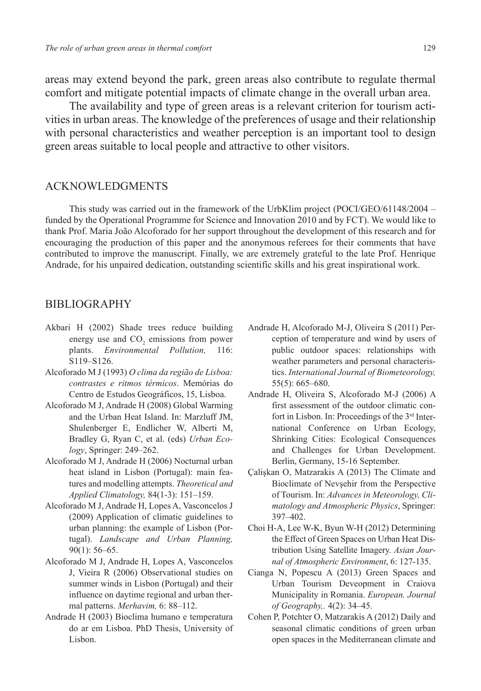areas may extend beyond the park, green areas also contribute to regulate thermal comfort and mitigate potential impacts of climate change in the overall urban area.

The availability and type of green areas is a relevant criterion for tourism activities in urban areas. The knowledge of the preferences of usage and their relationship with personal characteristics and weather perception is an important tool to design green areas suitable to local people and attractive to other visitors.

#### **ACKNOWLEDGMENTS**

This study was carried out in the framework of the UrbKlim project (POCI/GEO/61148/2004 – funded by the Operational Programme for Science and Innovation 2010 and by FCT). We would like to thank Prof. Maria João Alcoforado for her support throughout the development of this research and for encouraging the production of this paper and the anonymous referees for their comments that have contributed to improve the manuscript. Finally, we are extremely grateful to the late Prof. Henrique Andrade, for his unpaired dedication, outstanding scientific skills and his great inspirational work.

#### BIBLIOGRAPHY

- Akbari H (2002) Shade trees reduce building energy use and  $CO<sub>2</sub>$  emissions from power plants. *Environmental Pollution,* 116: S119–S126.
- Alcoforado M J (1993) *O clima da região de Lisboa: contrastes e ritmos térmicos*. Memórias do Centro de Estudos Geográficos, 15, Lisboa.
- Alcoforado M J, Andrade H (2008) Global Warming and the Urban Heat Island. In: Marzluff JM, Shulenberger E, Endlicher W, Alberti M, Bradley G, Ryan C, et al. (eds) *Urban Ecology*, Springer: 249–262.
- Alcoforado M J, Andrade H (2006) Nocturnal urban heat island in Lisbon (Portugal): main features and modelling attempts. *Theoretical and Applied Climatology,* 84(1-3): 151–159.
- Alcoforado M J, Andrade H, Lopes A, Vasconcelos J (2009) Application of climatic guidelines to urban planning: the example of Lisbon (Portugal). *Landscape and Urban Planning,* 90(1): 56–65.
- Alcoforado M J, Andrade H, Lopes A, Vasconcelos J, Vieira R (2006) Observational studies on summer winds in Lisbon (Portugal) and their influence on daytime regional and urban thermal patterns. *Merhavim,* 6: 88–112.
- Andrade H (2003) Bioclima humano e temperatura do ar em Lisboa. PhD Thesis, University of Lisbon.
- Andrade H, Alcoforado M-J, Oliveira S (2011) Perception of temperature and wind by users of public outdoor spaces: relationships with weather parameters and personal characteristics. *International Journal of Biometeorology,* 55(5): 665–680.
- Andrade H, Oliveira S, Alcoforado M-J (2006) A first assessment of the outdoor climatic confort in Lisbon. In: Proceedings of the 3rd International Conference on Urban Ecology, Shrinking Cities: Ecological Consequences and Challenges for Urban Development. Berlin, Germany, 15-16 September.
- Çalişkan O, Matzarakis A (2013) The Climate and Bioclimate of Nevşehir from the Perspective of Tourism. In: *Advances in Meteorology, Climatology and Atmospheric Physics*, Springer: 397–402.
- Choi H-A, Lee W-K, Byun W-H (2012) Determining the Effect of Green Spaces on Urban Heat Distribution Using Satellite Imagery. *Asian Journal of Atmospheric Environment*, 6: 127-135.
- Cianga N, Popescu A (2013) Green Spaces and Urban Tourism Deveopment in Craiova Municipality in Romania. *European. Journal of Geography,.* 4(2): 34–45.
- Cohen P, Potchter O, Matzarakis A (2012) Daily and seasonal climatic conditions of green urban open spaces in the Mediterranean climate and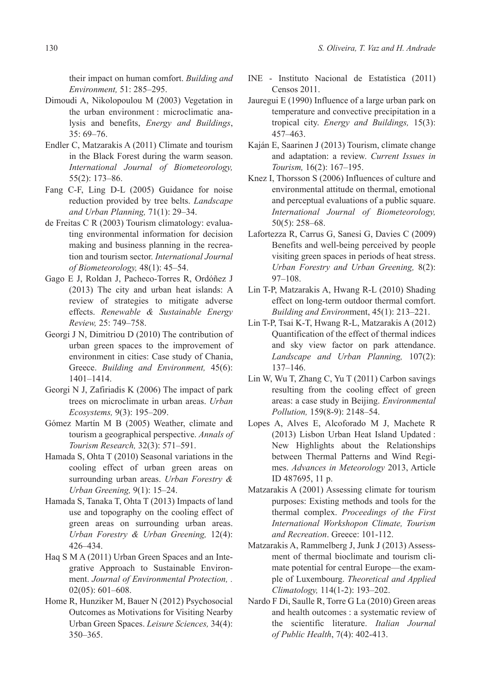their impact on human comfort. *Building and Environment,* 51: 285–295.

- Dimoudi A, Nikolopoulou M (2003) Vegetation in the urban environment : microclimatic analysis and benefits, *Energy and Buildings*, 35: 69–76.
- Endler C, Matzarakis A (2011) Climate and tourism in the Black Forest during the warm season. *International Journal of Biometeorology,* 55(2): 173–86.
- Fang C-F, Ling D-L (2005) Guidance for noise reduction provided by tree belts. *Landscape and Urban Planning,* 71(1): 29–34.
- de Freitas C R (2003) Tourism climatology: evaluating environmental information for decision making and business planning in the recreation and tourism sector. *International Journal of Biometeorology,* 48(1): 45–54.
- Gago E J, Roldan J, Pacheco-Torres R, Ordóñez J (2013) The city and urban heat islands: A review of strategies to mitigate adverse effects. *Renewable & Sustainable Energy Review,* 25: 749–758.
- Georgi J N, Dimitriou D (2010) The contribution of urban green spaces to the improvement of environment in cities: Case study of Chania, Greece. *Building and Environment,* 45(6): 1401–1414.
- Georgi N J, Zafiriadis K (2006) The impact of park trees on microclimate in urban areas. *Urban Ecosystems,* 9(3): 195–209.
- Gómez Martín M B (2005) Weather, climate and tourism a geographical perspective. *Annals of Tourism Research,* 32(3): 571–591.
- Hamada S, Ohta T (2010) Seasonal variations in the cooling effect of urban green areas on surrounding urban areas. *Urban Forestry & Urban Greening,* 9(1): 15–24.
- Hamada S, Tanaka T, Ohta T (2013) Impacts of land use and topography on the cooling effect of green areas on surrounding urban areas. *Urban Forestry & Urban Greening,* 12(4): 426–434.
- Haq S M A (2011) Urban Green Spaces and an Integrative Approach to Sustainable Environment. *Journal of Environmental Protection, .* 02(05): 601–608.
- Home R, Hunziker M, Bauer N (2012) Psychosocial Outcomes as Motivations for Visiting Nearby Urban Green Spaces. *Leisure Sciences,* 34(4): 350–365.
- INE Instituto Nacional de Estatística (2011) Censos 2011.
- Jauregui E (1990) Influence of a large urban park on temperature and convective precipitation in a tropical city. *Energy and Buildings,* 15(3): 457–463.
- Kaján E, Saarinen J (2013) Tourism, climate change and adaptation: a review. *Current Issues in Tourism,* 16(2): 167–195.
- Knez I, Thorsson S (2006) Influences of culture and environmental attitude on thermal, emotional and perceptual evaluations of a public square. *International Journal of Biometeorology,* 50(5): 258–68.
- Lafortezza R, Carrus G, Sanesi G, Davies C (2009) Benefits and well-being perceived by people visiting green spaces in periods of heat stress. *Urban Forestry and Urban Greening,* 8(2): 97–108.
- Lin T-P, Matzarakis A, Hwang R-L (2010) Shading effect on long-term outdoor thermal comfort. *Building and Environ*ment, 45(1): 213–221.
- Lin T-P, Tsai K-T, Hwang R-L, Matzarakis A (2012) Quantification of the effect of thermal indices and sky view factor on park attendance. *Landscape and Urban Planning,* 107(2): 137–146.
- Lin W, Wu T, Zhang C, Yu T (2011) Carbon savings resulting from the cooling effect of green areas: a case study in Beijing. *Environmental Pollution,* 159(8-9): 2148–54.
- Lopes A, Alves E, Alcoforado M J, Machete R (2013) Lisbon Urban Heat Island Updated : New Highlights about the Relationships between Thermal Patterns and Wind Regimes. *Advances in Meteorology* 2013, Article ID 487695, 11 p.
- Matzarakis A (2001) Assessing climate for tourism purposes: Existing methods and tools for the thermal complex. *Proceedings of the First International Workshopon Climate, Tourism and Recreation*. Greece: 101-112.
- Matzarakis A, Rammelberg J, Junk J (2013) Assessment of thermal bioclimate and tourism climate potential for central Europe—the example of Luxembourg. *Theoretical and Applied Climatology,* 114(1-2): 193–202.
- Nardo F Di, Saulle R, Torre G La (2010) Green areas and health outcomes : a systematic review of the scientific literature. *Italian Journal of Public Health*, 7(4): 402-413.